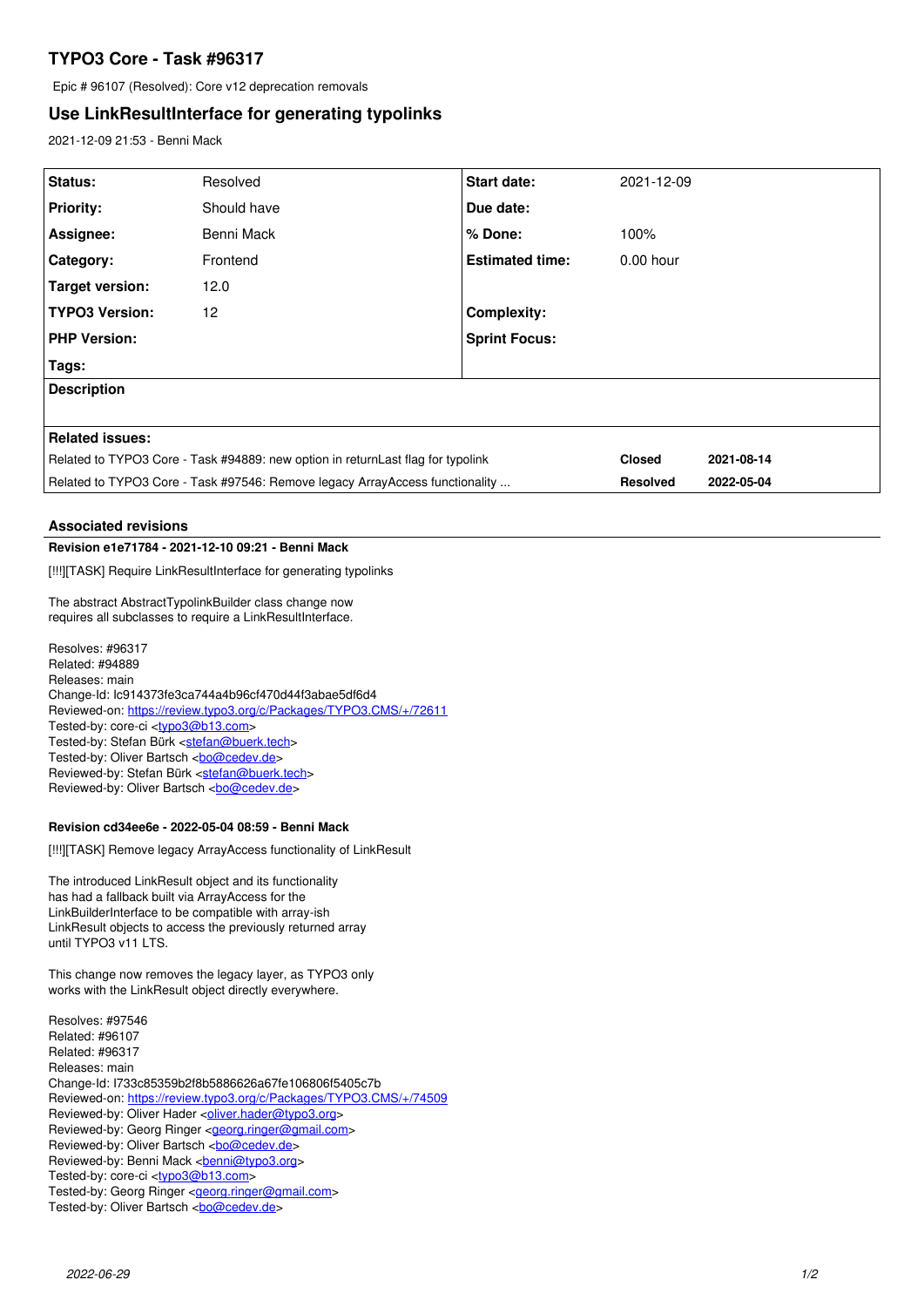# **TYPO3 Core - Task #96317**

Epic # 96107 (Resolved): Core v12 deprecation removals

## **Use LinkResultInterface for generating typolinks**

2021-12-09 21:53 - Benni Mack

| Status:                                                                         | Resolved    | Start date:            | 2021-12-09      |            |
|---------------------------------------------------------------------------------|-------------|------------------------|-----------------|------------|
| <b>Priority:</b>                                                                | Should have | Due date:              |                 |            |
| Assignee:                                                                       | Benni Mack  | % Done:                | 100%            |            |
| Category:                                                                       | Frontend    | <b>Estimated time:</b> | $0.00$ hour     |            |
| Target version:                                                                 | 12.0        |                        |                 |            |
| <b>TYPO3 Version:</b>                                                           | 12          | <b>Complexity:</b>     |                 |            |
| <b>PHP Version:</b>                                                             |             | <b>Sprint Focus:</b>   |                 |            |
| Tags:                                                                           |             |                        |                 |            |
| <b>Description</b>                                                              |             |                        |                 |            |
|                                                                                 |             |                        |                 |            |
| <b>Related issues:</b>                                                          |             |                        |                 |            |
| Related to TYPO3 Core - Task #94889: new option in returnLast flag for typolink |             |                        | <b>Closed</b>   | 2021-08-14 |
| Related to TYPO3 Core - Task #97546: Remove legacy ArrayAccess functionality    |             |                        | <b>Resolved</b> | 2022-05-04 |

## **Associated revisions**

#### **Revision e1e71784 - 2021-12-10 09:21 - Benni Mack**

[!!!][TASK] Require LinkResultInterface for generating typolinks

The abstract AbstractTypolinkBuilder class change now requires all subclasses to require a LinkResultInterface.

Resolves: #96317 Related: #94889 Releases: main Change-Id: Ic914373fe3ca744a4b96cf470d44f3abae5df6d4 Reviewed-on:<https://review.typo3.org/c/Packages/TYPO3.CMS/+/72611> Tested-by: core-ci [<typo3@b13.com](mailto:typo3@b13.com)> Tested-by: Stefan Bürk <[stefan@buerk.tech](mailto:stefan@buerk.tech)> Tested-by: Oliver Bartsch <br/> <br/> <br/> <br/> <br/>Completed-by: Oliver Bartsch <br/> <br/> <br/> <br/> <br/> <br/> <br/> <br/> <br/> <br/> <br/> <br/> <br/> <br/> <br/> <br/> <br/> <br/> <br/> <br/> <br/> <br/> <br/> Reviewed-by: Stefan Bürk <[stefan@buerk.tech>](mailto:stefan@buerk.tech) Reviewed-by: Oliver Bartsch <br/> <br/> <br/> <br/> <br/> <br/> <br/> <br/> <br/> <br/> <br/> <br/> <br/> <br/><br/> $\label{eq:1}$ 

#### **Revision cd34ee6e - 2022-05-04 08:59 - Benni Mack**

[!!!][TASK] Remove legacy ArrayAccess functionality of LinkResult

The introduced LinkResult object and its functionality has had a fallback built via ArrayAccess for the LinkBuilderInterface to be compatible with array-ish LinkResult objects to access the previously returned array until TYPO3 v11 LTS.

This change now removes the legacy layer, as TYPO3 only works with the LinkResult object directly everywhere.

Resolves: #97546 Related: #96107 Related: #96317 Releases: main Change-Id: I733c85359b2f8b5886626a67fe106806f5405c7b Reviewed-on:<https://review.typo3.org/c/Packages/TYPO3.CMS/+/74509> Reviewed-by: Oliver Hader <[oliver.hader@typo3.org>](mailto:oliver.hader@typo3.org) Reviewed-by: Georg Ringer <[georg.ringer@gmail.com](mailto:georg.ringer@gmail.com)> Reviewed-by: Oliver Bartsch <br/> <br/> <br/> <br/> <br/> <br/> <br/> <br/> <br/> <br/> <br/> <br/> <br/> <br/> <br/> <br/><br/> $\label{eq:2}$ Reviewed-by: Benni Mack <[benni@typo3.org>](mailto:benni@typo3.org) Tested-by: core-ci [<typo3@b13.com](mailto:typo3@b13.com)> Tested-by: Georg Ringer [<georg.ringer@gmail.com>](mailto:georg.ringer@gmail.com) Tested-by: Oliver Bartsch <br/> <br/> <br/> <br/> <br/>Composed <br/><br/>Spaced <br/> <br/> <br/> <br/> <br/> Tested-by: Oliver Bartsch <br/> <br/> <br/> <br/> <br/> <br/> <br/> <br/> <br/> <br/> <br/> <br/> <br/> <br/> <